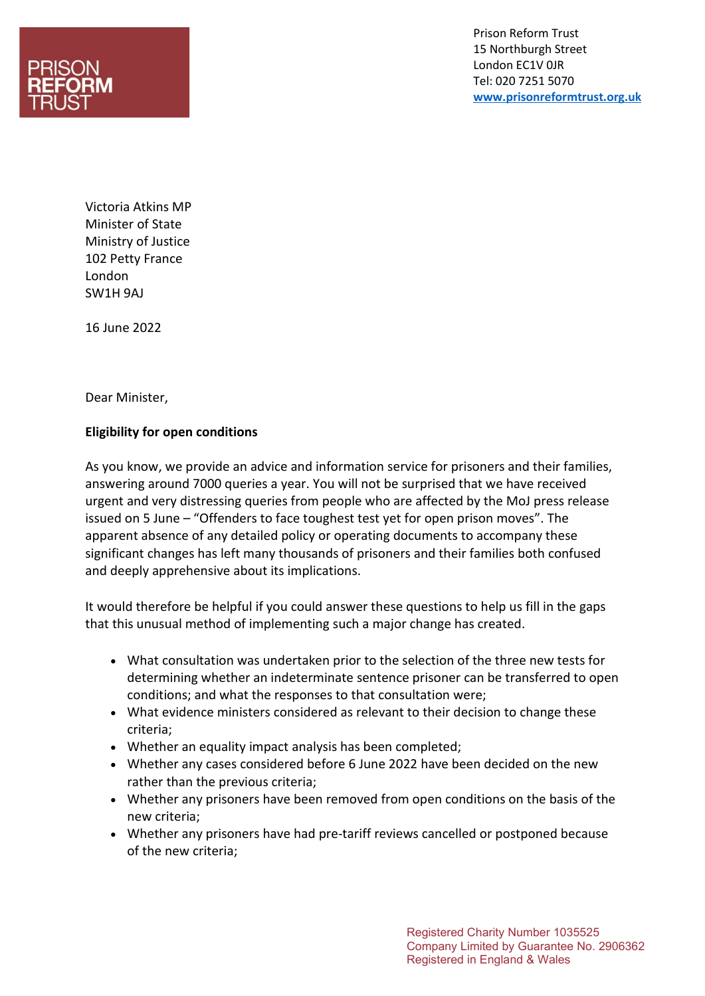

Prison Reform Trust 15 Northburgh Street London EC1V 0JR Tel: 020 7251 5070 **[www.prisonreformtrust.org.uk](http://www.prisonreformtrust.org.uk/)**

Victoria Atkins MP Minister of State Ministry of Justice 102 Petty France London SW1H 9AJ

16 June 2022

Dear Minister,

## **Eligibility for open conditions**

As you know, we provide an advice and information service for prisoners and their families, answering around 7000 queries a year. You will not be surprised that we have received urgent and very distressing queries from people who are affected by the MoJ press release issued on 5 June – "Offenders to face toughest test yet for open prison moves". The apparent absence of any detailed policy or operating documents to accompany these significant changes has left many thousands of prisoners and their families both confused and deeply apprehensive about its implications.

It would therefore be helpful if you could answer these questions to help us fill in the gaps that this unusual method of implementing such a major change has created.

- What consultation was undertaken prior to the selection of the three new tests for determining whether an indeterminate sentence prisoner can be transferred to open conditions; and what the responses to that consultation were;
- What evidence ministers considered as relevant to their decision to change these criteria;
- Whether an equality impact analysis has been completed;
- Whether any cases considered before 6 June 2022 have been decided on the new rather than the previous criteria;
- Whether any prisoners have been removed from open conditions on the basis of the new criteria;
- Whether any prisoners have had pre-tariff reviews cancelled or postponed because of the new criteria;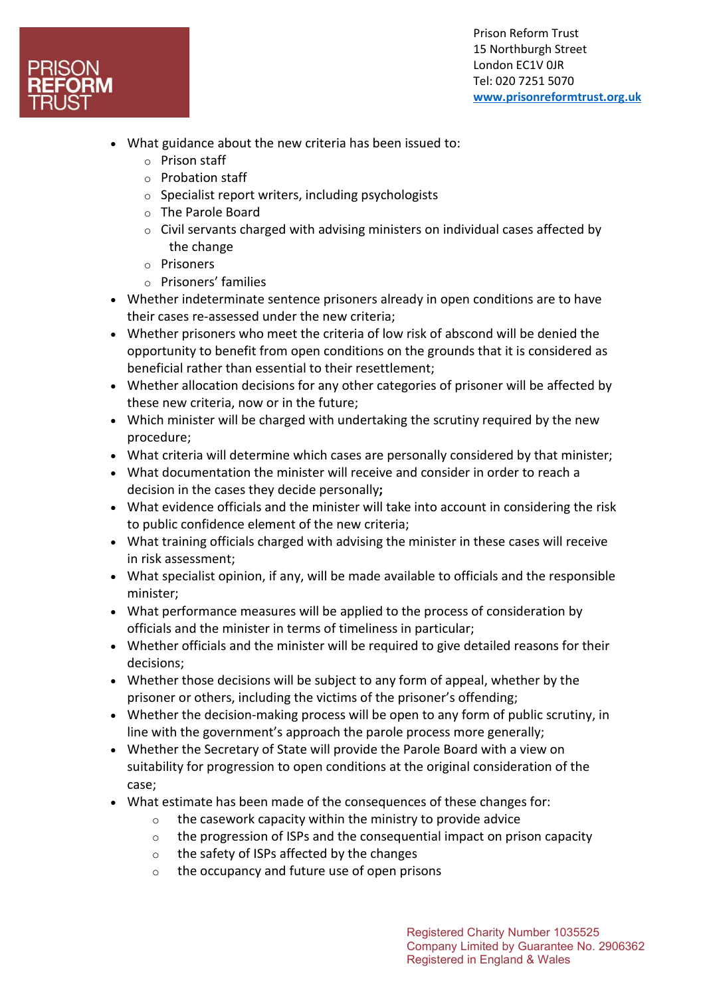

Prison Reform Trust 15 Northburgh Street London EC1V 0JR Tel: 020 7251 5070 **[www.prisonreformtrust.org.uk](http://www.prisonreformtrust.org.uk/)**

- What guidance about the new criteria has been issued to:
	- o Prison staff
	- o Probation staff
	- $\circ$  Specialist report writers, including psychologists
	- o The Parole Board
	- o Civil servants charged with advising ministers on individual cases affected by the change
	- o Prisoners
	- o Prisoners' families
- Whether indeterminate sentence prisoners already in open conditions are to have their cases re-assessed under the new criteria;
- Whether prisoners who meet the criteria of low risk of abscond will be denied the opportunity to benefit from open conditions on the grounds that it is considered as beneficial rather than essential to their resettlement;
- Whether allocation decisions for any other categories of prisoner will be affected by these new criteria, now or in the future;
- Which minister will be charged with undertaking the scrutiny required by the new procedure;
- What criteria will determine which cases are personally considered by that minister;
- What documentation the minister will receive and consider in order to reach a decision in the cases they decide personally**;**
- What evidence officials and the minister will take into account in considering the risk to public confidence element of the new criteria;
- What training officials charged with advising the minister in these cases will receive in risk assessment;
- What specialist opinion, if any, will be made available to officials and the responsible minister;
- What performance measures will be applied to the process of consideration by officials and the minister in terms of timeliness in particular;
- Whether officials and the minister will be required to give detailed reasons for their decisions;
- Whether those decisions will be subject to any form of appeal, whether by the prisoner or others, including the victims of the prisoner's offending;
- Whether the decision-making process will be open to any form of public scrutiny, in line with the government's approach the parole process more generally;
- Whether the Secretary of State will provide the Parole Board with a view on suitability for progression to open conditions at the original consideration of the case;
- What estimate has been made of the consequences of these changes for:
	- $\circ$  the casework capacity within the ministry to provide advice
	- $\circ$  the progression of ISPs and the consequential impact on prison capacity
	- o the safety of ISPs affected by the changes
	- $\circ$  the occupancy and future use of open prisons